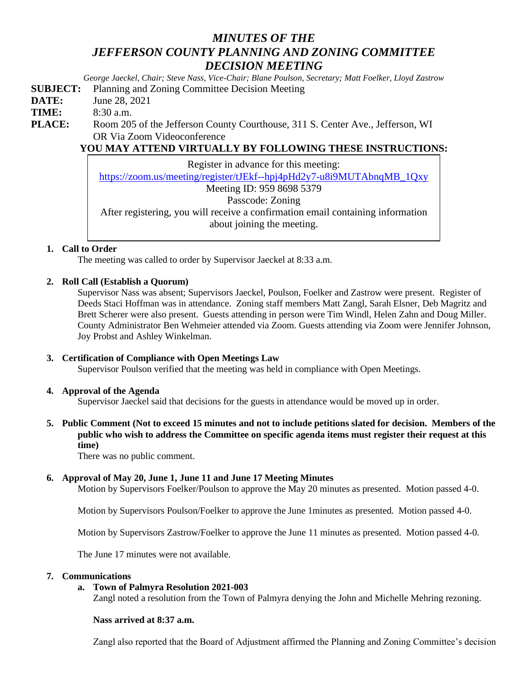# *MINUTES OF THE JEFFERSON COUNTY PLANNING AND ZONING COMMITTEE DECISION MEETING*

*George Jaeckel, Chair; Steve Nass, Vice-Chair; Blane Poulson, Secretary; Matt Foelker, Lloyd Zastrow*

**SUBJECT:** Planning and Zoning Committee Decision Meeting

**DATE:** June 28, 2021

**TIME:** 8:30 a.m.

**PLACE:** Room 205 of the Jefferson County Courthouse, 311 S. Center Ave., Jefferson, WI OR Via Zoom Videoconference

# **YOU MAY ATTEND VIRTUALLY BY FOLLOWING THESE INSTRUCTIONS:**

Register in advance for this meeting: [https://zoom.us/meeting/register/tJEkf--hpj4pHd2y7-u8i9MUTAbnqMB\\_1Qxy](https://zoom.us/meeting/register/tJEkf--hpj4pHd2y7-u8i9MUTAbnqMB_1Qxy) Meeting ID: 959 8698 5379 Passcode: Zoning After registering, you will receive a confirmation email containing information about joining the meeting.

## **1. Call to Order**

The meeting was called to order by Supervisor Jaeckel at 8:33 a.m.

#### **2. Roll Call (Establish a Quorum)**

Supervisor Nass was absent; Supervisors Jaeckel, Poulson, Foelker and Zastrow were present. Register of Deeds Staci Hoffman was in attendance. Zoning staff members Matt Zangl, Sarah Elsner, Deb Magritz and Brett Scherer were also present. Guests attending in person were Tim Windl, Helen Zahn and Doug Miller. County Administrator Ben Wehmeier attended via Zoom. Guests attending via Zoom were Jennifer Johnson, Joy Probst and Ashley Winkelman.

#### **3. Certification of Compliance with Open Meetings Law**

Supervisor Poulson verified that the meeting was held in compliance with Open Meetings.

#### **4. Approval of the Agenda**

Supervisor Jaeckel said that decisions for the guests in attendance would be moved up in order.

**5. Public Comment (Not to exceed 15 minutes and not to include petitions slated for decision. Members of the public who wish to address the Committee on specific agenda items must register their request at this time)**

There was no public comment.

#### **6. Approval of May 20, June 1, June 11 and June 17 Meeting Minutes**

Motion by Supervisors Foelker/Poulson to approve the May 20 minutes as presented. Motion passed 4-0.

Motion by Supervisors Poulson/Foelker to approve the June 1minutes as presented. Motion passed 4-0.

Motion by Supervisors Zastrow/Foelker to approve the June 11 minutes as presented. Motion passed 4-0.

The June 17 minutes were not available.

#### **7. Communications**

# **a. Town of Palmyra Resolution 2021-003**

Zangl noted a resolution from the Town of Palmyra denying the John and Michelle Mehring rezoning.

# **Nass arrived at 8:37 a.m.**

Zangl also reported that the Board of Adjustment affirmed the Planning and Zoning Committee's decision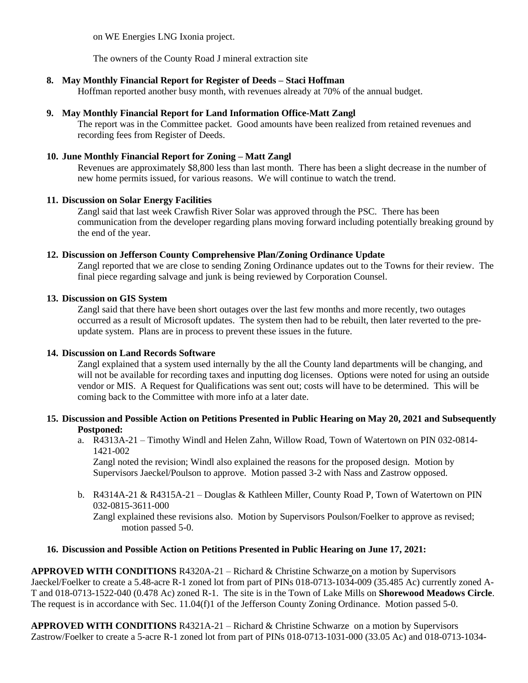on WE Energies LNG Ixonia project.

The owners of the County Road J mineral extraction site

#### **8. May Monthly Financial Report for Register of Deeds – Staci Hoffman**

Hoffman reported another busy month, with revenues already at 70% of the annual budget.

#### **9. May Monthly Financial Report for Land Information Office-Matt Zangl**

The report was in the Committee packet. Good amounts have been realized from retained revenues and recording fees from Register of Deeds.

#### **10. June Monthly Financial Report for Zoning – Matt Zangl**

Revenues are approximately \$8,800 less than last month. There has been a slight decrease in the number of new home permits issued, for various reasons. We will continue to watch the trend.

#### **11. Discussion on Solar Energy Facilities**

Zangl said that last week Crawfish River Solar was approved through the PSC. There has been communication from the developer regarding plans moving forward including potentially breaking ground by the end of the year.

#### **12. Discussion on Jefferson County Comprehensive Plan/Zoning Ordinance Update**

Zangl reported that we are close to sending Zoning Ordinance updates out to the Towns for their review. The final piece regarding salvage and junk is being reviewed by Corporation Counsel.

#### **13. Discussion on GIS System**

Zangl said that there have been short outages over the last few months and more recently, two outages occurred as a result of Microsoft updates. The system then had to be rebuilt, then later reverted to the preupdate system. Plans are in process to prevent these issues in the future.

#### **14. Discussion on Land Records Software**

Zangl explained that a system used internally by the all the County land departments will be changing, and will not be available for recording taxes and inputting dog licenses. Options were noted for using an outside vendor or MIS. A Request for Qualifications was sent out; costs will have to be determined. This will be coming back to the Committee with more info at a later date.

#### **15. Discussion and Possible Action on Petitions Presented in Public Hearing on May 20, 2021 and Subsequently Postponed:**

a. R4313A-21 – Timothy Windl and Helen Zahn, Willow Road, Town of Watertown on PIN 032-0814- 1421-002

Zangl noted the revision; Windl also explained the reasons for the proposed design. Motion by Supervisors Jaeckel/Poulson to approve. Motion passed 3-2 with Nass and Zastrow opposed.

b. R4314A-21 & R4315A-21 – Douglas & Kathleen Miller, County Road P, Town of Watertown on PIN 032-0815-3611-000

Zangl explained these revisions also. Motion by Supervisors Poulson/Foelker to approve as revised; motion passed 5-0.

#### **16. Discussion and Possible Action on Petitions Presented in Public Hearing on June 17, 2021:**

**APPROVED WITH CONDITIONS** R4320A-21 – Richard & Christine Schwarze on a motion by Supervisors Jaeckel/Foelker to create a 5.48-acre R-1 zoned lot from part of PINs 018-0713-1034-009 (35.485 Ac) currently zoned A-T and 018-0713-1522-040 (0.478 Ac) zoned R-1. The site is in the Town of Lake Mills on **Shorewood Meadows Circle**. The request is in accordance with Sec. 11.04(f)1 of the Jefferson County Zoning Ordinance. Motion passed 5-0.

**APPROVED WITH CONDITIONS** R4321A-21 – Richard & Christine Schwarze on a motion by Supervisors Zastrow/Foelker to create a 5-acre R-1 zoned lot from part of PINs 018-0713-1031-000 (33.05 Ac) and 018-0713-1034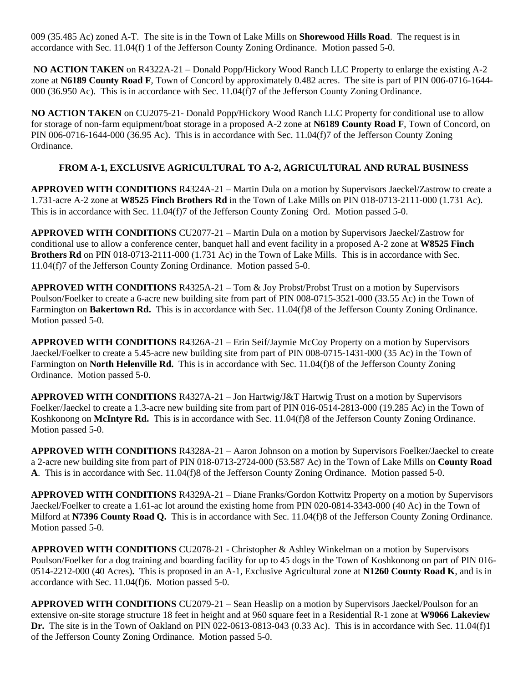009 (35.485 Ac) zoned A-T. The site is in the Town of Lake Mills on **Shorewood Hills Road**. The request is in accordance with Sec. 11.04(f) 1 of the Jefferson County Zoning Ordinance. Motion passed 5-0.

**NO ACTION TAKEN** on R4322A-21 – Donald Popp/Hickory Wood Ranch LLC Property to enlarge the existing A-2 zone at **N6189 County Road F**, Town of Concord by approximately 0.482 acres. The site is part of PIN 006-0716-1644- 000 (36.950 Ac). This is in accordance with Sec. 11.04(f)7 of the Jefferson County Zoning Ordinance.

**NO ACTION TAKEN** on CU2075-21- Donald Popp/Hickory Wood Ranch LLC Property for conditional use to allow for storage of non-farm equipment/boat storage in a proposed A-2 zone at **N6189 County Road F**, Town of Concord, on PIN 006-0716-1644-000 (36.95 Ac). This is in accordance with Sec. 11.04(f)7 of the Jefferson County Zoning Ordinance.

## **FROM A-1, EXCLUSIVE AGRICULTURAL TO A-2, AGRICULTURAL AND RURAL BUSINESS**

**APPROVED WITH CONDITIONS** R4324A-21 – Martin Dula on a motion by Supervisors Jaeckel/Zastrow to create a 1.731-acre A-2 zone at **W8525 Finch Brothers Rd** in the Town of Lake Mills on PIN 018-0713-2111-000 (1.731 Ac). This is in accordance with Sec. 11.04(f)7 of the Jefferson County Zoning Ord. Motion passed 5-0.

**APPROVED WITH CONDITIONS** CU2077-21 – Martin Dula on a motion by Supervisors Jaeckel/Zastrow for conditional use to allow a conference center, banquet hall and event facility in a proposed A-2 zone at **W8525 Finch Brothers Rd** on PIN 018-0713-2111-000 (1.731 Ac) in the Town of Lake Mills. This is in accordance with Sec. 11.04(f)7 of the Jefferson County Zoning Ordinance. Motion passed 5-0.

**APPROVED WITH CONDITIONS** R4325A-21 – Tom & Joy Probst/Probst Trust on a motion by Supervisors Poulson/Foelker to create a 6-acre new building site from part of PIN 008-0715-3521-000 (33.55 Ac) in the Town of Farmington on **Bakertown Rd.** This is in accordance with Sec. 11.04(f)8 of the Jefferson County Zoning Ordinance. Motion passed 5-0.

**APPROVED WITH CONDITIONS** R4326A-21 – Erin Seif/Jaymie McCoy Property on a motion by Supervisors Jaeckel/Foelker to create a 5.45-acre new building site from part of PIN 008-0715-1431-000 (35 Ac) in the Town of Farmington on **North Helenville Rd.** This is in accordance with Sec. 11.04(f)8 of the Jefferson County Zoning Ordinance. Motion passed 5-0.

**APPROVED WITH CONDITIONS** R4327A-21 – Jon Hartwig/J&T Hartwig Trust on a motion by Supervisors Foelker/Jaeckel to create a 1.3-acre new building site from part of PIN 016-0514-2813-000 (19.285 Ac) in the Town of Koshkonong on **McIntyre Rd.** This is in accordance with Sec. 11.04(f)8 of the Jefferson County Zoning Ordinance. Motion passed 5-0.

**APPROVED WITH CONDITIONS** R4328A-21 – Aaron Johnson on a motion by Supervisors Foelker/Jaeckel to create a 2-acre new building site from part of PIN 018-0713-2724-000 (53.587 Ac) in the Town of Lake Mills on **County Road A**. This is in accordance with Sec. 11.04(f)8 of the Jefferson County Zoning Ordinance. Motion passed 5-0.

**APPROVED WITH CONDITIONS** R4329A-21 – Diane Franks/Gordon Kottwitz Property on a motion by Supervisors Jaeckel/Foelker to create a 1.61-ac lot around the existing home from PIN 020-0814-3343-000 (40 Ac) in the Town of Milford at **N7396 County Road Q.** This is in accordance with Sec. 11.04(f)8 of the Jefferson County Zoning Ordinance. Motion passed 5-0.

**APPROVED WITH CONDITIONS** CU2078-21 - Christopher & Ashley Winkelman on a motion by Supervisors Poulson/Foelker for a dog training and boarding facility for up to 45 dogs in the Town of Koshkonong on part of PIN 016- 0514-2212-000 (40 Acres)**.** This is proposed in an A-1, Exclusive Agricultural zone at **N1260 County Road K**, and is in accordance with Sec. 11.04(f)6. Motion passed 5-0.

**APPROVED WITH CONDITIONS** CU2079-21 – Sean Heaslip on a motion by Supervisors Jaeckel/Poulson for an extensive on-site storage structure 18 feet in height and at 960 square feet in a Residential R-1 zone at **W9066 Lakeview**  Dr. The site is in the Town of Oakland on PIN 022-0613-0813-043 (0.33 Ac). This is in accordance with Sec. 11.04(f)1 of the Jefferson County Zoning Ordinance. Motion passed 5-0.